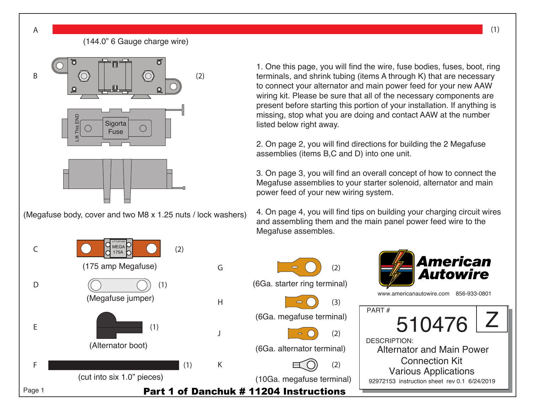

1. One this page, you will find the wire, fuse bodies, fuses, boot, ring terminals, and shrink tubing (items A through K) that are necessary to connect your alternator and main power feed for your new AAW wiring kit. Please be sure that all of the necessary components are present before starting this portion of your installation. If anything is missing, stop what you are doing and contact AAW at the number listed below right away.

2. On page 2, you will find directions for building the 2 Megafuse assemblies (items B,C and D) into one unit.

3. On page 3, you will find an overall concept of how to connect the Megafuse assemblies to your starter solenoid, alternator and main power feed of your new wiring system.

4. On page 4, you will find tips on building your charging circuit wires and assembling them and the main panel power feed wire to the Megafuse assembles.



A

Page 1

E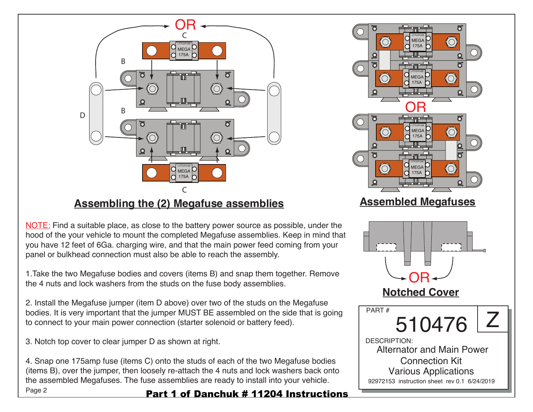

## **Assembling the (2) Megafuse assemblies**

NOTE: Find a suitable place, as close to the battery power source as possible, under the hood of the your vehicle to mount the completed Megafuse assemblies. Keep in mind that you have 12 feet of 6Ga. charging wire, and that the main power feed coming from your panel or bulkhead connection must also be able to reach the assembly.

1.Take the two Megafuse bodies and covers (items B) and snap them together. Remove the 4 nuts and lock washers from the studs on the fuse body assemblies.

2. Install the Megafuse jumper (item D above) over two of the studs on the Megafuse bodies. It is very important that the jumper MUST BE assembled on the side that is going to connect to your main power connection (starter solenoid or battery feed).

3. Notch top cover to clear jumper D as shown at right.

Page 2 4. Snap one 175amp fuse (items C) onto the studs of each of the two Megafuse bodies (items B), over the jumper, then loosely re-attach the 4 nuts and lock washers back onto the assembled Megafuses. The fuse assemblies are ready to install into your vehicle.

Part 1 of Danchuk # 11204 Instructions

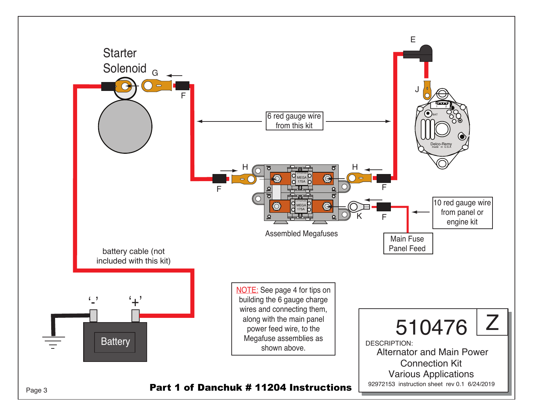